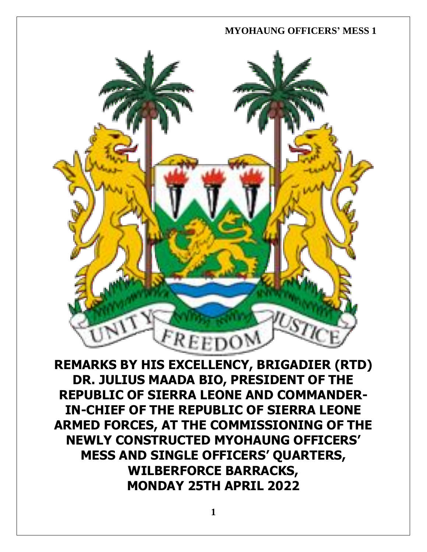

**REMARKS BY HIS EXCELLENCY, BRIGADIER (RTD) DR. JULIUS MAADA BIO, PRESIDENT OF THE REPUBLIC OF SIERRA LEONE AND COMMANDER-IN-CHIEF OF THE REPUBLIC OF SIERRA LEONE ARMED FORCES, AT THE COMMISSIONING OF THE NEWLY CONSTRUCTED MYOHAUNG OFFICERS' MESS AND SINGLE OFFICERS' QUARTERS, WILBERFORCE BARRACKS, MONDAY 25TH APRIL 2022**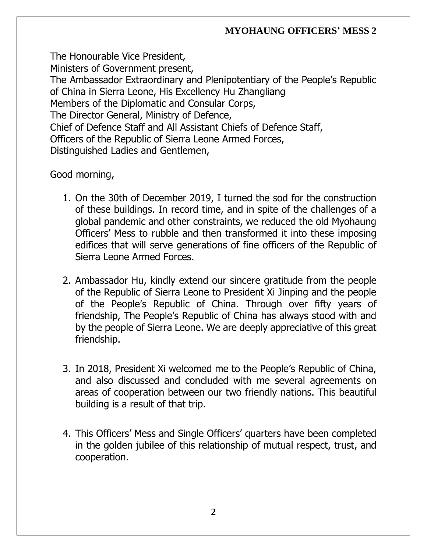The Honourable Vice President, Ministers of Government present, The Ambassador Extraordinary and Plenipotentiary of the People's Republic of China in Sierra Leone, His Excellency Hu Zhangliang Members of the Diplomatic and Consular Corps, The Director General, Ministry of Defence, Chief of Defence Staff and All Assistant Chiefs of Defence Staff, Officers of the Republic of Sierra Leone Armed Forces, Distinguished Ladies and Gentlemen,

Good morning,

- 1. On the 30th of December 2019, I turned the sod for the construction of these buildings. In record time, and in spite of the challenges of a global pandemic and other constraints, we reduced the old Myohaung Officers' Mess to rubble and then transformed it into these imposing edifices that will serve generations of fine officers of the Republic of Sierra Leone Armed Forces.
- 2. Ambassador Hu, kindly extend our sincere gratitude from the people of the Republic of Sierra Leone to President Xi Jinping and the people of the People's Republic of China. Through over fifty years of friendship, The People's Republic of China has always stood with and by the people of Sierra Leone. We are deeply appreciative of this great friendship.
- 3. In 2018, President Xi welcomed me to the People's Republic of China, and also discussed and concluded with me several agreements on areas of cooperation between our two friendly nations. This beautiful building is a result of that trip.
- 4. This Officers' Mess and Single Officers' quarters have been completed in the golden jubilee of this relationship of mutual respect, trust, and cooperation.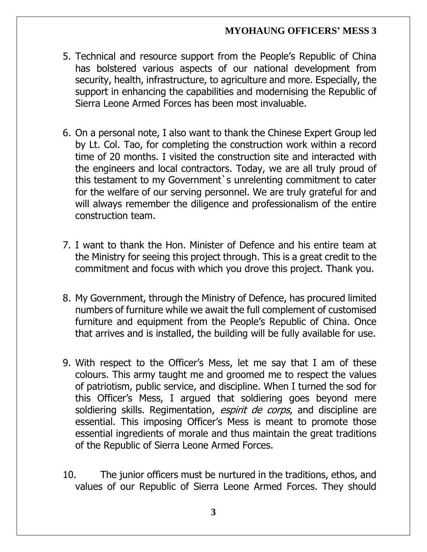- 5. Technical and resource support from the People's Republic of China has bolstered various aspects of our national development from security, health, infrastructure, to agriculture and more. Especially, the support in enhancing the capabilities and modernising the Republic of Sierra Leone Armed Forces has been most invaluable.
- 6. On a personal note, I also want to thank the Chinese Expert Group led by Lt. Col. Tao, for completing the construction work within a record time of 20 months. I visited the construction site and interacted with the engineers and local contractors. Today, we are all truly proud of this testament to my Government`s unrelenting commitment to cater for the welfare of our serving personnel. We are truly grateful for and will always remember the diligence and professionalism of the entire construction team.
- 7. I want to thank the Hon. Minister of Defence and his entire team at the Ministry for seeing this project through. This is a great credit to the commitment and focus with which you drove this project. Thank you.
- 8. My Government, through the Ministry of Defence, has procured limited numbers of furniture while we await the full complement of customised furniture and equipment from the People's Republic of China. Once that arrives and is installed, the building will be fully available for use.
- 9. With respect to the Officer's Mess, let me say that I am of these colours. This army taught me and groomed me to respect the values of patriotism, public service, and discipline. When I turned the sod for this Officer's Mess, I argued that soldiering goes beyond mere soldiering skills. Regimentation, *espirit de corps*, and discipline are essential. This imposing Officer's Mess is meant to promote those essential ingredients of morale and thus maintain the great traditions of the Republic of Sierra Leone Armed Forces.
- 10. The junior officers must be nurtured in the traditions, ethos, and values of our Republic of Sierra Leone Armed Forces. They should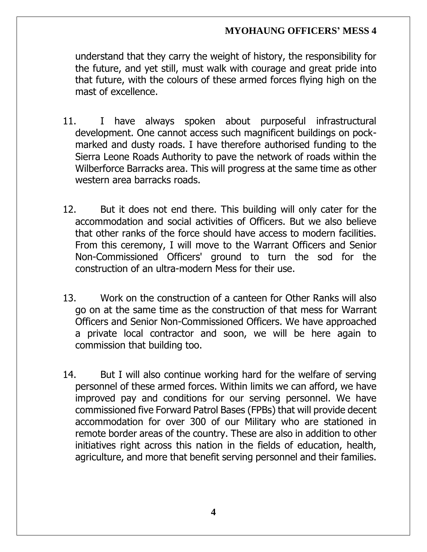understand that they carry the weight of history, the responsibility for the future, and yet still, must walk with courage and great pride into that future, with the colours of these armed forces flying high on the mast of excellence.

- 11. I have always spoken about purposeful infrastructural development. One cannot access such magnificent buildings on pockmarked and dusty roads. I have therefore authorised funding to the Sierra Leone Roads Authority to pave the network of roads within the Wilberforce Barracks area. This will progress at the same time as other western area barracks roads.
- 12. But it does not end there. This building will only cater for the accommodation and social activities of Officers. But we also believe that other ranks of the force should have access to modern facilities. From this ceremony, I will move to the Warrant Officers and Senior Non-Commissioned Officers' ground to turn the sod for the construction of an ultra-modern Mess for their use.
- 13. Work on the construction of a canteen for Other Ranks will also go on at the same time as the construction of that mess for Warrant Officers and Senior Non-Commissioned Officers. We have approached a private local contractor and soon, we will be here again to commission that building too.
- 14. But I will also continue working hard for the welfare of serving personnel of these armed forces. Within limits we can afford, we have improved pay and conditions for our serving personnel. We have commissioned five Forward Patrol Bases (FPBs) that will provide decent accommodation for over 300 of our Military who are stationed in remote border areas of the country. These are also in addition to other initiatives right across this nation in the fields of education, health, agriculture, and more that benefit serving personnel and their families.